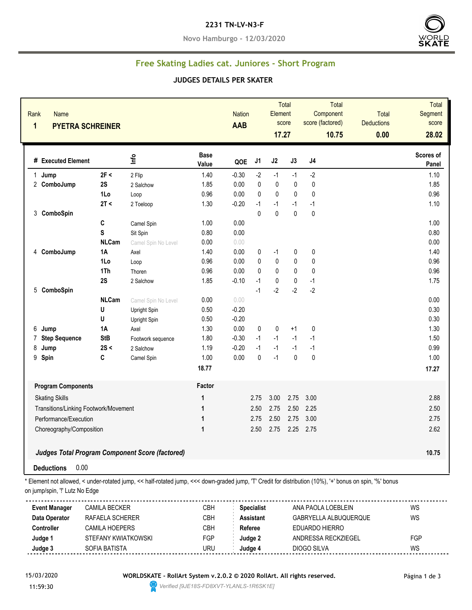#### **2231 TN-LV-N3-F**

**Novo Hamburgo - 12/03/2020**



### **Free Skating Ladies cat. Juniores - Short Program**

#### **JUDGES DETAILS PER SKATER**

| <b>Name</b><br>Rank<br>1<br><b>PYETRA SCHREINER</b> |              |                                                        |                      | <b>Nation</b><br>AAB |              | Element<br>17.27 | <b>Total</b><br>score | Total<br>Component<br>score (factored)<br>10.75 | <b>Total</b><br><b>Deductions</b><br>0.00 | Total<br>Segment<br>score<br>28.02 |
|-----------------------------------------------------|--------------|--------------------------------------------------------|----------------------|----------------------|--------------|------------------|-----------------------|-------------------------------------------------|-------------------------------------------|------------------------------------|
| # Executed Element                                  |              | Info                                                   | <b>Base</b><br>Value | QOE                  | J1           | J2               | J3                    | J <sub>4</sub>                                  |                                           | Scores of<br>Panel                 |
| Jump<br>1                                           | 2F <         | 2 Flip                                                 | 1.40                 | $-0.30$              | $-2$         | $-1$             | $-1$                  | $-2$                                            |                                           | 1.10                               |
| 2 ComboJump                                         | 2S           | 2 Salchow                                              | 1.85                 | 0.00                 | $\pmb{0}$    | $\pmb{0}$        | 0                     | $\pmb{0}$                                       |                                           | 1.85                               |
|                                                     | 1Lo          | Loop                                                   | 0.96                 | 0.00                 | $\pmb{0}$    | $\mathbf{0}$     | 0                     | $\pmb{0}$                                       |                                           | 0.96                               |
|                                                     | 2T <         | 2 Toeloop                                              | 1.30                 | $-0.20$              | $-1$         | $-1$             | $-1$                  | $-1$                                            |                                           | 1.10                               |
| 3<br>ComboSpin                                      |              |                                                        |                      |                      | $\mathbf 0$  | $\mathbf{0}$     | $\pmb{0}$             | $\mathbf{0}$                                    |                                           |                                    |
|                                                     | C            | Camel Spin                                             | 1.00                 | 0.00                 |              |                  |                       |                                                 |                                           | 1.00                               |
|                                                     | S            | Sit Spin                                               | 0.80                 | 0.00                 |              |                  |                       |                                                 |                                           | 0.80                               |
|                                                     | <b>NLCam</b> | Camel Spin No Level                                    | 0.00                 | 0.00                 |              |                  |                       |                                                 |                                           | 0.00                               |
| 4 ComboJump                                         | <b>1A</b>    | Axel                                                   | 1.40                 | 0.00                 | 0            | $-1$             | 0                     | $\pmb{0}$                                       |                                           | 1.40                               |
|                                                     | 1Lo          | Loop                                                   | 0.96                 | 0.00                 | 0            | $\pmb{0}$        | $\pmb{0}$             | $\pmb{0}$                                       |                                           | 0.96                               |
|                                                     | 1Th          | Thoren                                                 | 0.96                 | 0.00                 | $\mathbf{0}$ | $\mathbf{0}$     | $\mathbf{0}$          | $\pmb{0}$                                       |                                           | 0.96                               |
|                                                     | 2S           | 2 Salchow                                              | 1.85                 | $-0.10$              | $-1$         | $\mathbf{0}$     | $\pmb{0}$             | $-1$                                            |                                           | 1.75                               |
| 5 ComboSpin                                         |              |                                                        |                      |                      | $-1$         | $-2$             | $-2$                  | $-2$                                            |                                           |                                    |
|                                                     | <b>NLCam</b> | Camel Spin No Level                                    | 0.00                 | 0.00                 |              |                  |                       |                                                 |                                           | 0.00                               |
|                                                     | U            | Upright Spin                                           | 0.50                 | $-0.20$              |              |                  |                       |                                                 |                                           | 0.30                               |
|                                                     | U            | Upright Spin                                           | 0.50                 | $-0.20$              |              |                  |                       |                                                 |                                           | 0.30                               |
| 6<br>Jump                                           | 1A           | Axel                                                   | 1.30                 | 0.00                 | 0            | $\pmb{0}$        | $+1$                  | $\pmb{0}$                                       |                                           | 1.30                               |
| <b>Step Sequence</b><br>7                           | <b>StB</b>   | Footwork sequence                                      | 1.80                 | $-0.30$              | $-1$         | $-1$             | $-1$                  | $-1$                                            |                                           | 1.50                               |
| 8<br>Jump                                           | 2S <         | 2 Salchow                                              | 1.19                 | $-0.20$              | $-1$         | $-1$             | $-1$                  | $-1$                                            |                                           | 0.99                               |
| 9<br>Spin                                           | C            | Camel Spin                                             | 1.00                 | 0.00                 | $\mathbf{0}$ | $-1$             | $\mathbf{0}$          | $\mathbf 0$                                     |                                           | 1.00                               |
|                                                     |              |                                                        | 18.77                |                      |              |                  |                       |                                                 |                                           | 17.27                              |
| <b>Program Components</b>                           |              |                                                        | Factor               |                      |              |                  |                       |                                                 |                                           |                                    |
| <b>Skating Skills</b>                               |              |                                                        | $\mathbf 1$          |                      | 2.75         | 3.00             | 2.75                  | 3.00                                            |                                           | 2.88                               |
| Transitions/Linking Footwork/Movement               |              |                                                        | 1                    |                      | 2.50         | 2.75             | 2.50                  | 2.25                                            |                                           | 2.50                               |
| Performance/Execution                               |              | $\mathbf 1$                                            |                      | 2.75                 | 2.50         | 2.75             | 3.00                  |                                                 | 2.75                                      |                                    |
| Choreography/Composition                            |              | $\mathbf{1}$                                           |                      | 2.50                 | 2.75         |                  | 2.25 2.75             |                                                 | 2.62                                      |                                    |
|                                                     |              |                                                        |                      |                      |              |                  |                       |                                                 |                                           |                                    |
|                                                     |              | <b>Judges Total Program Component Score (factored)</b> |                      |                      |              |                  |                       |                                                 |                                           | 10.75                              |

**Deductions** 0.00

\* Element not allowed, < under-rotated jump, << half-rotated jump, <<< down-graded jump, 'T' Credit for distribution (10%), '+' bonus on spin, '%' bonus on jump/spin, '!' Lutz No Edge

| <b>Event Manager</b> | CAMILA BECKER       | СВН | <b>Specialist</b> | ANA PAOLA LOEBLEIN    | WS  |
|----------------------|---------------------|-----|-------------------|-----------------------|-----|
| Data Operator        | RAFAELA SCHERER     | СВН | <b>Assistant</b>  | GABRYELLA ALBUQUERQUE | WS  |
| Controller           | CAMILA HOEPERS      | СВН | Referee           | EDUARDO HIERRO        |     |
| Judge 1              | STEFANY KWIATKOWSKI | FGP | Judge 2           | ANDRESSA RECKZIEGEL   | FGP |
| Judge 3              | SOFIA BATISTA       | URU | Judge 4           | DIOGO SILVA           | WS  |
|                      |                     |     |                   |                       |     |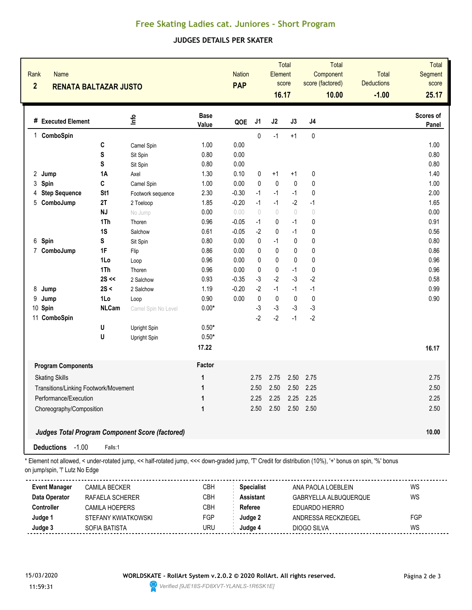# **Free Skating Ladies cat. Juniores - Short Program**

## **JUDGES DETAILS PER SKATER**

| Rank<br><b>Name</b><br>$\overline{2}$<br><b>RENATA BALTAZAR JUSTO</b> |                 |                                                        |                      | <b>Nation</b><br><b>PAP</b> |                                  | <b>Element</b><br>16.17          | <b>Total</b><br>score            |                                  | <b>Total</b><br>Component<br>score (factored)<br>10.00 | <b>Total</b><br><b>Deductions</b><br>$-1.00$ | <b>Total</b><br>Segment<br>score<br>25.17 |
|-----------------------------------------------------------------------|-----------------|--------------------------------------------------------|----------------------|-----------------------------|----------------------------------|----------------------------------|----------------------------------|----------------------------------|--------------------------------------------------------|----------------------------------------------|-------------------------------------------|
| # Executed Element                                                    |                 | lnfo                                                   | <b>Base</b><br>Value | QOE                         | J <sub>1</sub>                   | J2                               | J3                               | J <sub>4</sub>                   |                                                        |                                              | <b>Scores of</b><br><b>Panel</b>          |
| ComboSpin<br>1                                                        |                 |                                                        |                      |                             | 0                                | $-1$                             | $+1$                             | 0                                |                                                        |                                              |                                           |
|                                                                       | C               | Camel Spin                                             | 1.00                 | 0.00                        |                                  |                                  |                                  |                                  |                                                        |                                              | 1.00                                      |
|                                                                       | S               | Sit Spin                                               | 0.80                 | 0.00                        |                                  |                                  |                                  |                                  |                                                        |                                              | 0.80                                      |
|                                                                       | S               | Sit Spin                                               | 0.80                 | 0.00                        |                                  |                                  |                                  |                                  |                                                        |                                              | 0.80                                      |
| 2<br>Jump                                                             | <b>1A</b>       | Axel                                                   | 1.30                 | 0.10                        | 0                                | $+1$                             | $+1$                             | 0                                |                                                        |                                              | 1.40                                      |
| Spin<br>3                                                             | C               | Camel Spin                                             | 1.00                 | 0.00                        | 0                                | $\mathbf{0}$                     | $\mathbf{0}$                     | 0                                |                                                        |                                              | 1.00                                      |
| <b>Step Sequence</b><br>4                                             | St <sub>1</sub> | Footwork sequence                                      | 2.30                 | $-0.30$                     | $-1$                             | $-1$                             | $-1$                             | 0                                |                                                        |                                              | 2.00                                      |
| 5<br>ComboJump                                                        | 2T              | 2 Toeloop                                              | 1.85                 | $-0.20$                     | $-1$                             | $-1$                             | $-2$                             | $-1$                             |                                                        |                                              | 1.65                                      |
|                                                                       | <b>NJ</b>       | No Jump                                                | 0.00                 | 0.00                        | $\begin{array}{c} \n\end{array}$ | $\begin{array}{c} \n\end{array}$ | $\begin{array}{c} \n\end{array}$ | $\begin{array}{c} \n\end{array}$ |                                                        |                                              | 0.00                                      |
|                                                                       | 1Th             | Thoren                                                 | 0.96                 | $-0.05$                     | $-1$                             | 0                                | $-1$                             | 0                                |                                                        |                                              | 0.91                                      |
|                                                                       | 1S              | Salchow                                                | 0.61                 | $-0.05$                     | $-2$                             | 0                                | $-1$                             | 0                                |                                                        |                                              | 0.56                                      |
| Spin<br>6                                                             | S               | Sit Spin                                               | 0.80                 | 0.00                        | 0                                | $-1$                             | 0                                | 0                                |                                                        |                                              | 0.80                                      |
| $\overline{7}$<br>ComboJump                                           | 1F              | Flip                                                   | 0.86                 | 0.00                        | 0                                | 0                                | 0                                | 0                                |                                                        |                                              | 0.86                                      |
|                                                                       | 1Lo             | Loop                                                   | 0.96                 | 0.00                        | 0                                | 0                                | 0                                | 0                                |                                                        |                                              | 0.96                                      |
|                                                                       | 1Th             | Thoren                                                 | 0.96                 | 0.00                        | 0                                | $\mathbf 0$                      | $-1$                             | 0                                |                                                        |                                              | 0.96                                      |
|                                                                       | $2S \ll$        | 2 Salchow                                              | 0.93                 | $-0.35$                     | $-3$                             | $-2$                             | $-3$                             | $-2$                             |                                                        |                                              | 0.58                                      |
| 8<br>Jump                                                             | 2S <            | 2 Salchow                                              | 1.19                 | $-0.20$                     | $-2$                             | $-1$                             | $-1$                             | $-1$                             |                                                        |                                              | 0.99                                      |
| 9<br>Jump                                                             | 1Lo             | Loop                                                   | 0.90                 | 0.00                        | $\pmb{0}$                        | $\pmb{0}$                        | $\pmb{0}$                        | $\pmb{0}$                        |                                                        |                                              | 0.90                                      |
| 10 Spin                                                               | <b>NLCam</b>    | Camel Spin No Level                                    | $0.00*$              |                             | $-3$                             | $-3$                             | $-3$                             | $-3$                             |                                                        |                                              |                                           |
| 11 ComboSpin                                                          |                 |                                                        |                      |                             | $-2$                             | $-2$                             | $-1$                             | $-2$                             |                                                        |                                              |                                           |
|                                                                       | U               | Upright Spin                                           | $0.50*$              |                             |                                  |                                  |                                  |                                  |                                                        |                                              |                                           |
|                                                                       | U               | Upright Spin                                           | $0.50*$              |                             |                                  |                                  |                                  |                                  |                                                        |                                              |                                           |
|                                                                       |                 |                                                        | 17.22                |                             |                                  |                                  |                                  |                                  |                                                        |                                              | 16.17                                     |
| <b>Program Components</b>                                             |                 |                                                        | Factor               |                             |                                  |                                  |                                  |                                  |                                                        |                                              |                                           |
| <b>Skating Skills</b>                                                 |                 |                                                        | 1                    |                             | 2.75                             | 2.75                             | 2.50                             | 2.75                             |                                                        |                                              | 2.75                                      |
| Transitions/Linking Footwork/Movement                                 |                 |                                                        | $\mathbf{1}$         |                             | 2.50                             | 2.50                             | 2.50                             | 2.25                             |                                                        |                                              | 2.50                                      |
| Performance/Execution                                                 |                 |                                                        | $\mathbf{1}$         |                             | 2.25                             | 2.25                             | 2.25                             | 2.25                             |                                                        |                                              | 2.25                                      |
|                                                                       |                 |                                                        |                      |                             |                                  | 2.50 2.50                        | 2.50 2.50                        |                                  |                                                        |                                              |                                           |
| Choreography/Composition                                              |                 |                                                        | 1                    |                             |                                  |                                  |                                  |                                  |                                                        |                                              | 2.50                                      |
|                                                                       |                 | <b>Judges Total Program Component Score (factored)</b> |                      |                             |                                  |                                  |                                  |                                  |                                                        |                                              | 10.00                                     |
| Deductions -1.00                                                      | Falls:1         |                                                        |                      |                             |                                  |                                  |                                  |                                  |                                                        |                                              |                                           |

on jump/spin, '!' Lutz No Edge

| <b>Event Manager</b> | CAMILA BECKER       | CBH | <b>Specialist</b> | ANA PAOLA LOEBLEIN    | WS  |
|----------------------|---------------------|-----|-------------------|-----------------------|-----|
| Data Operator        | RAFAELA SCHERER     | СВН | <b>Assistant</b>  | GABRYELLA ALBUQUERQUE | WS  |
| <b>Controller</b>    | CAMILA HOEPERS      | СВН | Referee           | EDUARDO HIERRO        |     |
| Judge 1              | STEFANY KWIATKOWSKI | FGP | Judge 2           | ANDRESSA RECKZIEGEL   | FGP |
| Judge 3              | SOFIA BATISTA       | JRU | Judae 4           | DIOGO SILVA           | WS  |
|                      |                     |     |                   |                       |     |